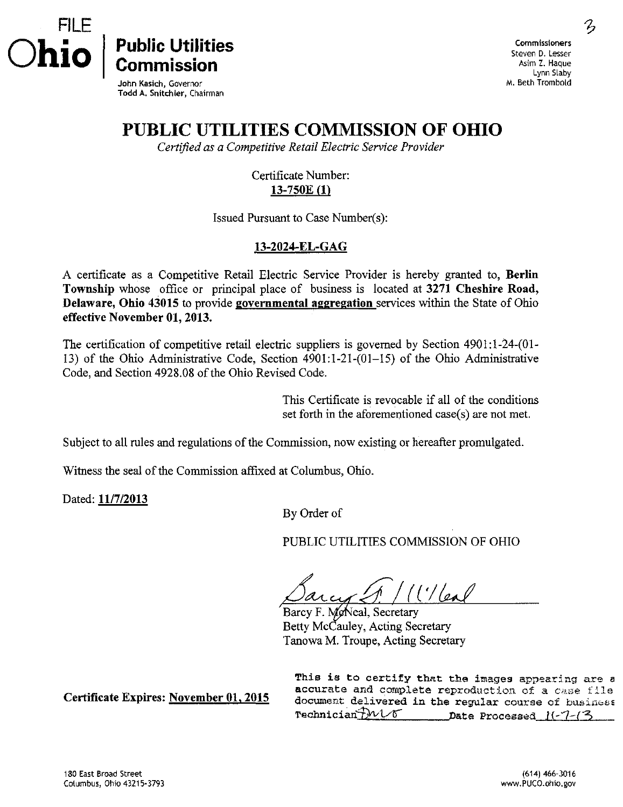



John Kasich, Governor Todd A. Snitchier, Chairman

Public Utilities Commission

## PUBLIC UTILITIES COMMISSION OF OHIO

Certified as a Competitive Retail Electric Service Provider

Certificate Number: 13-750E (1)

Issued Pursuant to Case Number(s):

## 13-2024-EL-GAG

A certificate as a Competitive Retail Electric Service Provider is hereby granted to, Berlin Township whose office or principal place of business is located at 3271 Cheshire Road, Delaware, Ohio 43015 to provide governmental aggregation services within the State of Ohio effective November 01, 2013.

The certification of competitive retail electric suppliers is governed by Section 4901:l-24-(01- 13) of the Ohio Administrative Code, Section 4901:1-21-(01-15) of the Ohio Administrative Code, and Section 4928.08 of the Ohio Revised Code.

> This Certificate is revocable if all of the conditions set forth in the aforementioned case(s) are not met.

Subject to all rules and regulations of the Commission, now existing or hereafter promulgated.

Witness the seal of the Commission affixed at Columbus, Ohio.

Dated: 11/7/2013

By Order of

PUBLIC UTILITIES COMMISSION OF OHIO

 $1')/|a_{\alpha}|/$ 

Barcy F. McNeal, Secretary Betty McCauley, Acting Secretary Tanowa M. Troupe, Acting Secretary

Certificate Expires: November 01, 2015

This is to certify that the images appearing are a accurate and complete reproduction of a case file document delivered in the regular course of business Technician $\frac{\partial \mathcal{W}}{\partial \mathcal{S}}$  Date Processed I $\left(-\frac{\partial \mathcal{W}}{\partial \mathcal{S}}\right)$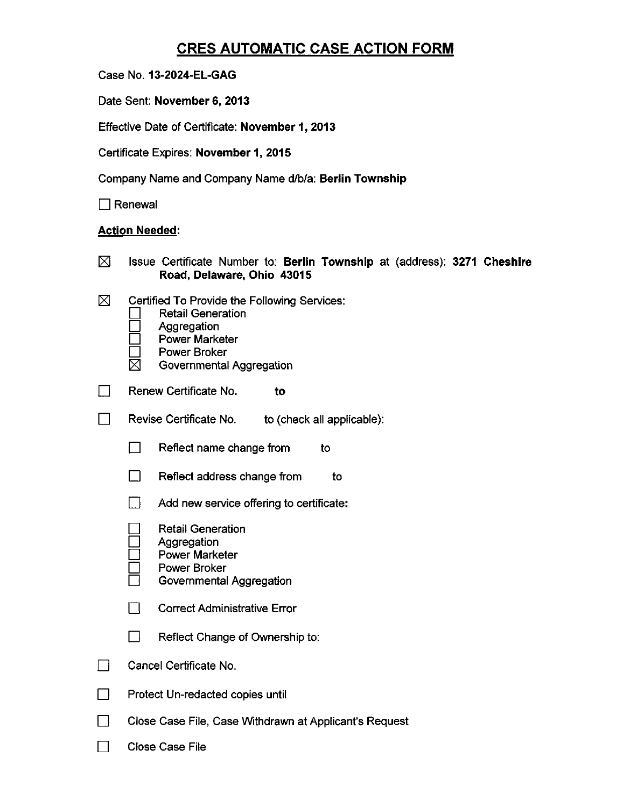## CRES AUTOMATIC CASE ACTION FORM

Case No. 13-2024-EL-GAG

Date Sent: November 6, 2013

Effective Date of Certificate: November 1, 2013

Certificate Expires: November 1, 2015

Company Name and Company Name d/b/a: Berlin Township

 $\Box$  Renewal

## Action Needed:

| ⊠                                                    | Issue Certificate Number to: Berlin Township at (address): 3271 Cheshire<br>Road, Delaware, Ohio 43015                                                              |  |  |
|------------------------------------------------------|---------------------------------------------------------------------------------------------------------------------------------------------------------------------|--|--|
| ⊠                                                    | Certified To Provide the Following Services:<br><b>Retail Generation</b><br>Aggregation<br><b>Power Marketer</b><br><b>Power Broker</b><br>Governmental Aggregation |  |  |
|                                                      | Renew Certificate No.<br>to                                                                                                                                         |  |  |
| Revise Certificate No.<br>to (check all applicable): |                                                                                                                                                                     |  |  |
|                                                      | $\Box$<br>Reflect name change from<br>to                                                                                                                            |  |  |
|                                                      | $\mathbf{L}$<br>Reflect address change from<br>to                                                                                                                   |  |  |
|                                                      | $\Box$<br>Add new service offering to certificate:                                                                                                                  |  |  |
|                                                      | <b>Retail Generation</b><br>Aggregation<br><b>Power Marketer</b><br>Power Broker<br>Governmental Aggregation                                                        |  |  |
|                                                      | П<br><b>Correct Administrative Error</b>                                                                                                                            |  |  |
|                                                      | $\mathsf{L}$<br>Reflect Change of Ownership to:                                                                                                                     |  |  |
|                                                      | Cancel Certificate No.                                                                                                                                              |  |  |
|                                                      | Protect Un-redacted copies until                                                                                                                                    |  |  |
|                                                      | Close Case File, Case Withdrawn at Applicant's Request                                                                                                              |  |  |
|                                                      | <b>Close Case File</b>                                                                                                                                              |  |  |